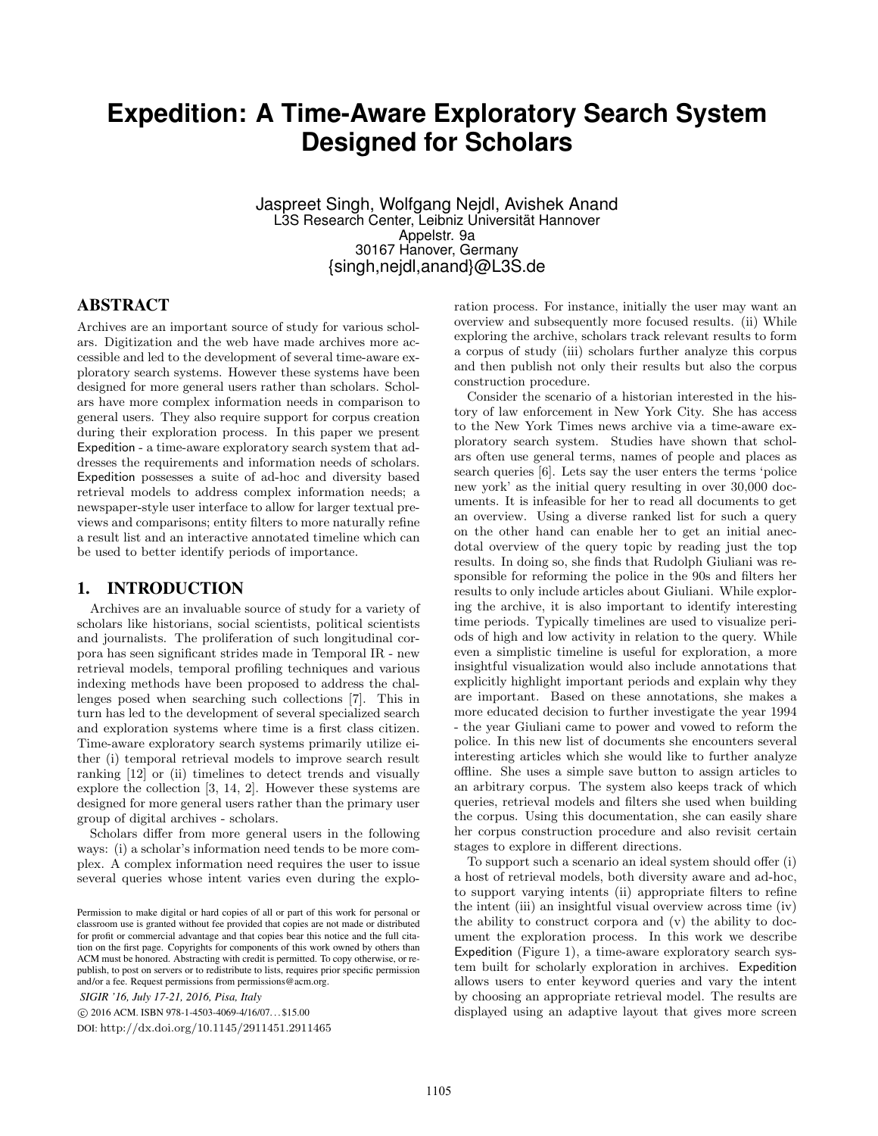# **Expedition: A Time-Aware Exploratory Search System Designed for Scholars**

Jaspreet Singh, Wolfgang Nejdl, Avishek Anand L3S Research Center, Leibniz Universität Hannover Appelstr. 9a 30167 Hanover, Germany {singh,nejdl,anand}@L3S.de

### ABSTRACT

Archives are an important source of study for various scholars. Digitization and the web have made archives more accessible and led to the development of several time-aware exploratory search systems. However these systems have been designed for more general users rather than scholars. Scholars have more complex information needs in comparison to general users. They also require support for corpus creation during their exploration process. In this paper we present Expedition - a time-aware exploratory search system that addresses the requirements and information needs of scholars. Expedition possesses a suite of ad-hoc and diversity based retrieval models to address complex information needs; a newspaper-style user interface to allow for larger textual previews and comparisons; entity filters to more naturally refine a result list and an interactive annotated timeline which can be used to better identify periods of importance.

#### 1. INTRODUCTION

Archives are an invaluable source of study for a variety of scholars like historians, social scientists, political scientists and journalists. The proliferation of such longitudinal corpora has seen significant strides made in Temporal IR - new retrieval models, temporal profiling techniques and various indexing methods have been proposed to address the challenges posed when searching such collections [7]. This in turn has led to the development of several specialized search and exploration systems where time is a first class citizen. Time-aware exploratory search systems primarily utilize either (i) temporal retrieval models to improve search result ranking [12] or (ii) timelines to detect trends and visually explore the collection [3, 14, 2]. However these systems are designed for more general users rather than the primary user group of digital archives - scholars.

Scholars differ from more general users in the following ways: (i) a scholar's information need tends to be more complex. A complex information need requires the user to issue several queries whose intent varies even during the explo-

*SIGIR '16, July 17-21, 2016, Pisa, Italy*

c 2016 ACM. ISBN 978-1-4503-4069-4/16/07. . . \$15.00

DOI: http://dx.doi.org/10.1145/2911451.2911465

ration process. For instance, initially the user may want an overview and subsequently more focused results. (ii) While exploring the archive, scholars track relevant results to form a corpus of study (iii) scholars further analyze this corpus and then publish not only their results but also the corpus construction procedure.

Consider the scenario of a historian interested in the history of law enforcement in New York City. She has access to the New York Times news archive via a time-aware exploratory search system. Studies have shown that scholars often use general terms, names of people and places as search queries [6]. Lets say the user enters the terms 'police new york' as the initial query resulting in over 30,000 documents. It is infeasible for her to read all documents to get an overview. Using a diverse ranked list for such a query on the other hand can enable her to get an initial anecdotal overview of the query topic by reading just the top results. In doing so, she finds that Rudolph Giuliani was responsible for reforming the police in the 90s and filters her results to only include articles about Giuliani. While exploring the archive, it is also important to identify interesting time periods. Typically timelines are used to visualize periods of high and low activity in relation to the query. While even a simplistic timeline is useful for exploration, a more insightful visualization would also include annotations that explicitly highlight important periods and explain why they are important. Based on these annotations, she makes a more educated decision to further investigate the year 1994 - the year Giuliani came to power and vowed to reform the police. In this new list of documents she encounters several interesting articles which she would like to further analyze offline. She uses a simple save button to assign articles to an arbitrary corpus. The system also keeps track of which queries, retrieval models and filters she used when building the corpus. Using this documentation, she can easily share her corpus construction procedure and also revisit certain stages to explore in different directions.

To support such a scenario an ideal system should offer (i) a host of retrieval models, both diversity aware and ad-hoc, to support varying intents (ii) appropriate filters to refine the intent (iii) an insightful visual overview across time (iv) the ability to construct corpora and (v) the ability to document the exploration process. In this work we describe Expedition (Figure 1), a time-aware exploratory search system built for scholarly exploration in archives. Expedition allows users to enter keyword queries and vary the intent by choosing an appropriate retrieval model. The results are displayed using an adaptive layout that gives more screen

Permission to make digital or hard copies of all or part of this work for personal or classroom use is granted without fee provided that copies are not made or distributed for profit or commercial advantage and that copies bear this notice and the full citation on the first page. Copyrights for components of this work owned by others than ACM must be honored. Abstracting with credit is permitted. To copy otherwise, or republish, to post on servers or to redistribute to lists, requires prior specific permission and/or a fee. Request permissions from permissions@acm.org.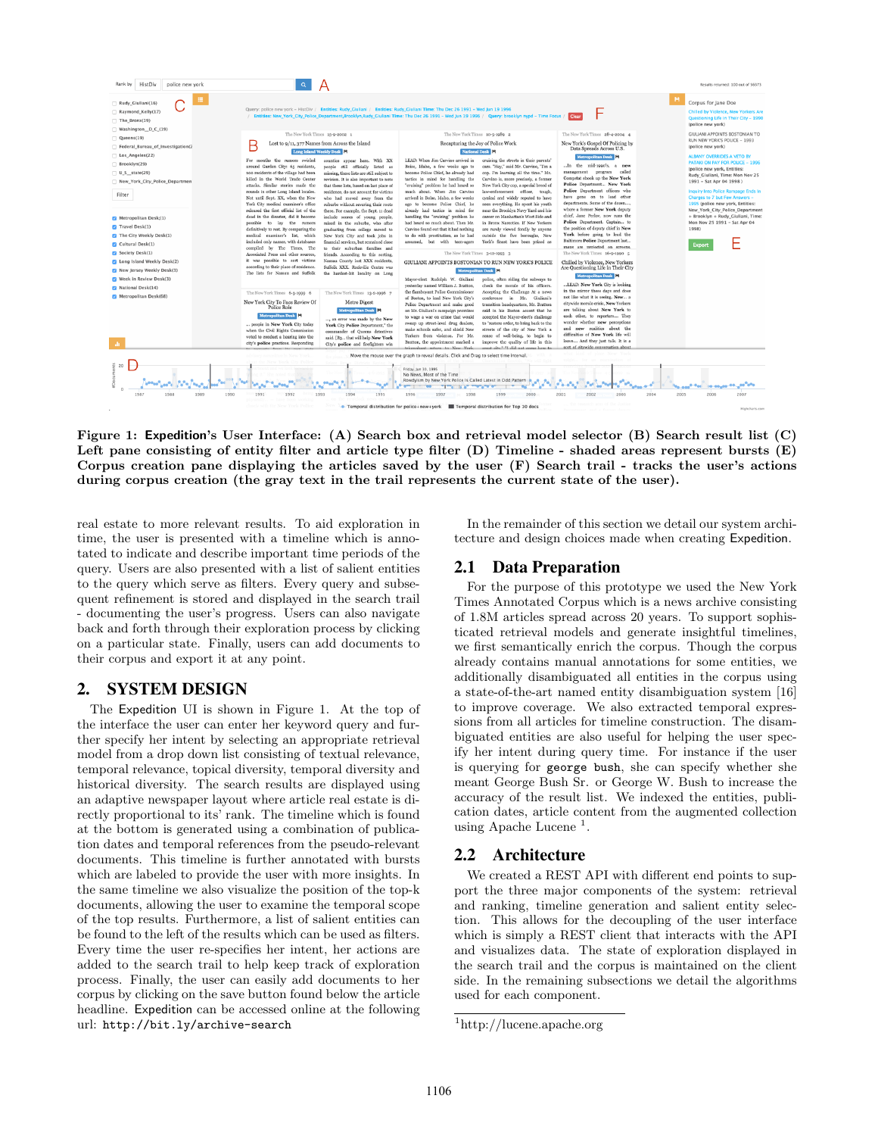

Figure 1: Expedition's User Interface: (A) Search box and retrieval model selector (B) Search result list (C) Left pane consisting of entity filter and article type filter (D) Timeline - shaded areas represent bursts (E) Corpus creation pane displaying the articles saved by the user (F) Search trail - tracks the user's actions during corpus creation (the gray text in the trail represents the current state of the user).

real estate to more relevant results. To aid exploration in time, the user is presented with a timeline which is annotated to indicate and describe important time periods of the query. Users are also presented with a list of salient entities to the query which serve as filters. Every query and subsequent refinement is stored and displayed in the search trail - documenting the user's progress. Users can also navigate back and forth through their exploration process by clicking on a particular state. Finally, users can add documents to their corpus and export it at any point.

## 2. SYSTEM DESIGN

The Expedition UI is shown in Figure 1. At the top of the interface the user can enter her keyword query and further specify her intent by selecting an appropriate retrieval model from a drop down list consisting of textual relevance, temporal relevance, topical diversity, temporal diversity and historical diversity. The search results are displayed using an adaptive newspaper layout where article real estate is directly proportional to its' rank. The timeline which is found at the bottom is generated using a combination of publication dates and temporal references from the pseudo-relevant documents. This timeline is further annotated with bursts which are labeled to provide the user with more insights. In the same timeline we also visualize the position of the top-k documents, allowing the user to examine the temporal scope of the top results. Furthermore, a list of salient entities can be found to the left of the results which can be used as filters. Every time the user re-specifies her intent, her actions are added to the search trail to help keep track of exploration process. Finally, the user can easily add documents to her corpus by clicking on the save button found below the article headline. Expedition can be accessed online at the following url: http://bit.ly/archive-search

In the remainder of this section we detail our system architecture and design choices made when creating Expedition.

#### 2.1 Data Preparation

For the purpose of this prototype we used the New York Times Annotated Corpus which is a news archive consisting of 1.8M articles spread across 20 years. To support sophisticated retrieval models and generate insightful timelines, we first semantically enrich the corpus. Though the corpus already contains manual annotations for some entities, we additionally disambiguated all entities in the corpus using a state-of-the-art named entity disambiguation system [16] to improve coverage. We also extracted temporal expressions from all articles for timeline construction. The disambiguated entities are also useful for helping the user specify her intent during query time. For instance if the user is querying for george bush, she can specify whether she meant George Bush Sr. or George W. Bush to increase the accuracy of the result list. We indexed the entities, publication dates, article content from the augmented collection using Apache Lucene<sup> $1$ </sup>.

## 2.2 Architecture

We created a REST API with different end points to support the three major components of the system: retrieval and ranking, timeline generation and salient entity selection. This allows for the decoupling of the user interface which is simply a REST client that interacts with the API and visualizes data. The state of exploration displayed in the search trail and the corpus is maintained on the client side. In the remaining subsections we detail the algorithms used for each component.

<sup>1</sup>http://lucene.apache.org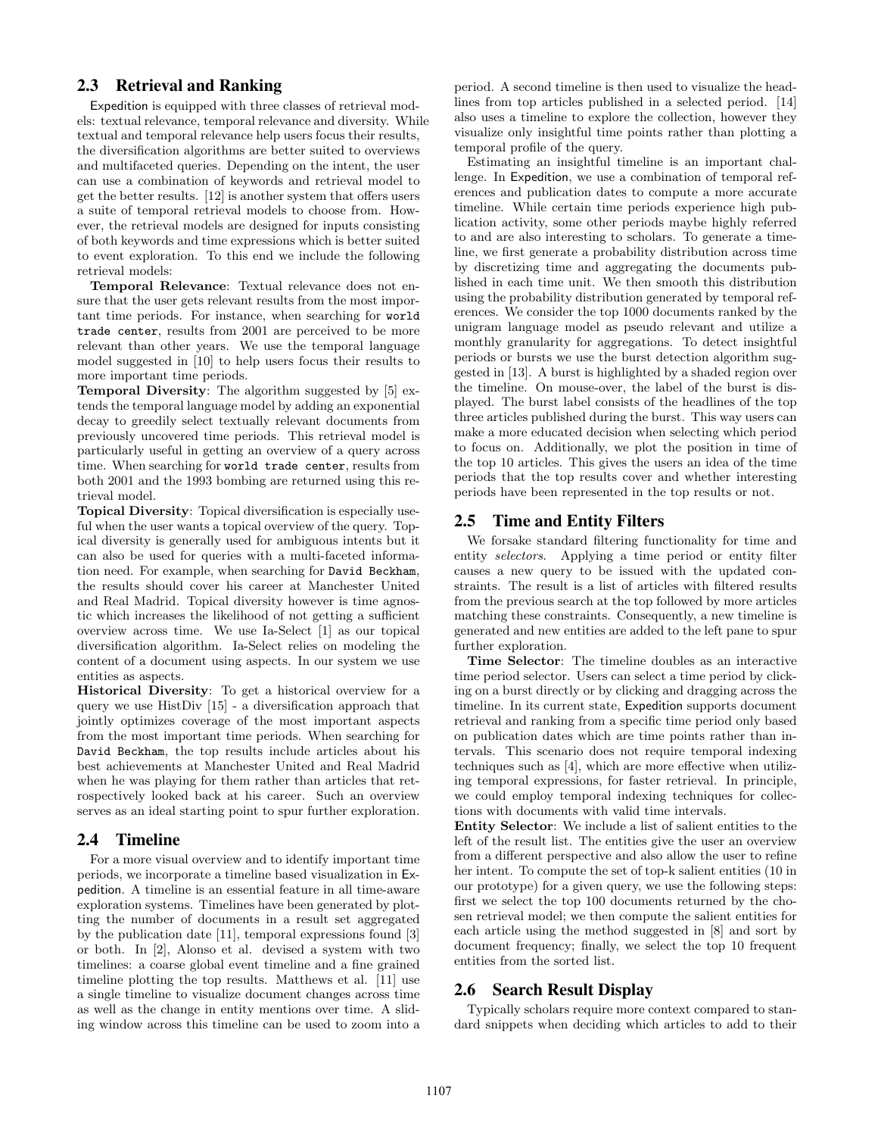## 2.3 Retrieval and Ranking

Expedition is equipped with three classes of retrieval models: textual relevance, temporal relevance and diversity. While textual and temporal relevance help users focus their results, the diversification algorithms are better suited to overviews and multifaceted queries. Depending on the intent, the user can use a combination of keywords and retrieval model to get the better results. [12] is another system that offers users a suite of temporal retrieval models to choose from. However, the retrieval models are designed for inputs consisting of both keywords and time expressions which is better suited to event exploration. To this end we include the following retrieval models:

Temporal Relevance: Textual relevance does not ensure that the user gets relevant results from the most important time periods. For instance, when searching for world trade center, results from 2001 are perceived to be more relevant than other years. We use the temporal language model suggested in [10] to help users focus their results to more important time periods.

Temporal Diversity: The algorithm suggested by [5] extends the temporal language model by adding an exponential decay to greedily select textually relevant documents from previously uncovered time periods. This retrieval model is particularly useful in getting an overview of a query across time. When searching for world trade center, results from both 2001 and the 1993 bombing are returned using this retrieval model.

Topical Diversity: Topical diversification is especially useful when the user wants a topical overview of the query. Topical diversity is generally used for ambiguous intents but it can also be used for queries with a multi-faceted information need. For example, when searching for David Beckham, the results should cover his career at Manchester United and Real Madrid. Topical diversity however is time agnostic which increases the likelihood of not getting a sufficient overview across time. We use Ia-Select [1] as our topical diversification algorithm. Ia-Select relies on modeling the content of a document using aspects. In our system we use entities as aspects.

Historical Diversity: To get a historical overview for a query we use HistDiv [15] - a diversification approach that jointly optimizes coverage of the most important aspects from the most important time periods. When searching for David Beckham, the top results include articles about his best achievements at Manchester United and Real Madrid when he was playing for them rather than articles that retrospectively looked back at his career. Such an overview serves as an ideal starting point to spur further exploration.

## 2.4 Timeline

For a more visual overview and to identify important time periods, we incorporate a timeline based visualization in Expedition. A timeline is an essential feature in all time-aware exploration systems. Timelines have been generated by plotting the number of documents in a result set aggregated by the publication date [11], temporal expressions found [3] or both. In [2], Alonso et al. devised a system with two timelines: a coarse global event timeline and a fine grained timeline plotting the top results. Matthews et al. [11] use a single timeline to visualize document changes across time as well as the change in entity mentions over time. A sliding window across this timeline can be used to zoom into a

period. A second timeline is then used to visualize the headlines from top articles published in a selected period. [14] also uses a timeline to explore the collection, however they visualize only insightful time points rather than plotting a temporal profile of the query.

Estimating an insightful timeline is an important challenge. In Expedition, we use a combination of temporal references and publication dates to compute a more accurate timeline. While certain time periods experience high publication activity, some other periods maybe highly referred to and are also interesting to scholars. To generate a timeline, we first generate a probability distribution across time by discretizing time and aggregating the documents published in each time unit. We then smooth this distribution using the probability distribution generated by temporal references. We consider the top 1000 documents ranked by the unigram language model as pseudo relevant and utilize a monthly granularity for aggregations. To detect insightful periods or bursts we use the burst detection algorithm suggested in [13]. A burst is highlighted by a shaded region over the timeline. On mouse-over, the label of the burst is displayed. The burst label consists of the headlines of the top three articles published during the burst. This way users can make a more educated decision when selecting which period to focus on. Additionally, we plot the position in time of the top 10 articles. This gives the users an idea of the time periods that the top results cover and whether interesting periods have been represented in the top results or not.

## 2.5 Time and Entity Filters

We forsake standard filtering functionality for time and entity selectors. Applying a time period or entity filter causes a new query to be issued with the updated constraints. The result is a list of articles with filtered results from the previous search at the top followed by more articles matching these constraints. Consequently, a new timeline is generated and new entities are added to the left pane to spur further exploration.

Time Selector: The timeline doubles as an interactive time period selector. Users can select a time period by clicking on a burst directly or by clicking and dragging across the timeline. In its current state, Expedition supports document retrieval and ranking from a specific time period only based on publication dates which are time points rather than intervals. This scenario does not require temporal indexing techniques such as [4], which are more effective when utilizing temporal expressions, for faster retrieval. In principle, we could employ temporal indexing techniques for collections with documents with valid time intervals.

Entity Selector: We include a list of salient entities to the left of the result list. The entities give the user an overview from a different perspective and also allow the user to refine her intent. To compute the set of top-k salient entities (10 in our prototype) for a given query, we use the following steps: first we select the top 100 documents returned by the chosen retrieval model; we then compute the salient entities for each article using the method suggested in [8] and sort by document frequency; finally, we select the top 10 frequent entities from the sorted list.

## 2.6 Search Result Display

Typically scholars require more context compared to standard snippets when deciding which articles to add to their